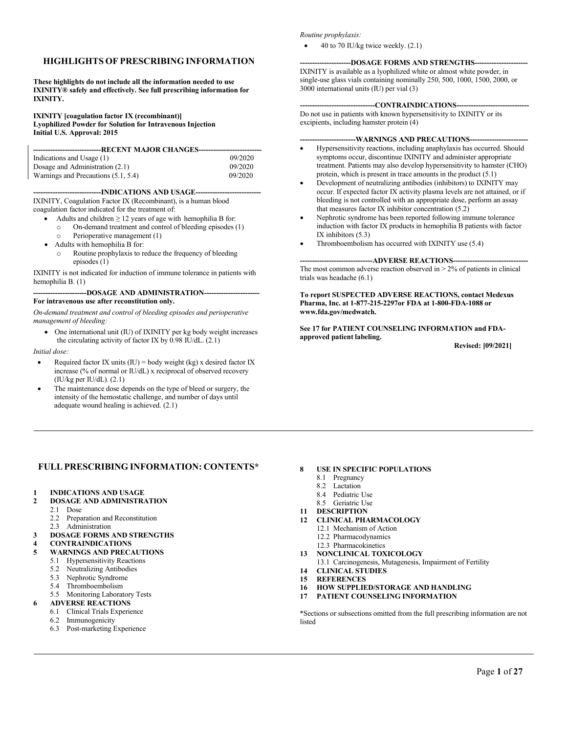#### **HIGHLIGHTS OF PRESCRIBING INFORMATION**

**These highlights do not include all the information needed to use IXINITY® safely and effectively. See full prescribing information for IXINITY.**

#### **IXINITY [coagulation factor IX (recombinant)] Lyophilized Powder for Solution for Intravenous Injection Initial U.S. Approval: 2015**

| --------------------------------RECENT MAJOR CHANGES---------------------------- |         |
|----------------------------------------------------------------------------------|---------|
|                                                                                  |         |
| Indications and Usage (1)                                                        | 09/2020 |
| Dosage and Administration (2.1)                                                  | 09/2020 |
| Warnings and Precautions (5.1, 5.4)                                              | 09/2020 |

--INDICATIONS AND USAGE--

IXINITY, Coagulation Factor IX (Recombinant), is a human blood coagulation factor indicated for the treatment of:

- Adults and children  $\geq 12$  years of age with hemophilia B f[or:](#page-1-0)
	- o On-demand treatment and control of bleeding episodes (1)
	- o Perioperative management (1)
- Adults with hemophilia B for:
- o Routine prophylaxis to reduce the frequency of bleeding episodes (1)

IXINITY is not indicated for induction of immune tolerance in patients with hemophilia B. (1)

#### ---DOSAGE AND ADMINISTRATION-**For intravenous use after reconstitution only.**

*On-demand treatment and control of bleeding episodes and perioperative management of bleeding:*

• One international unit (IU) of IXINITY per kg body weight increases the circulating activity of factor IX by  $0.98$  IU/dL.  $(2.1)$ 

*Initial dose:*

- Required factor IX units  $(IU) = body weight (kg) x$  desired factor IX increase (% of normal or IU/dL) x reciprocal of observed recovery (IU/kg per IU/dL). [\(2.1\)](#page-1-1)
- The maintenance dose depends on the type of bleed or surgery, the intensity of the hemostatic challenge, and number of days until adequate wound healing is achieved. [\(2.1\)](#page-1-1)

#### *Routine prophylaxis:*

• 40 to 70 IU/kg twice weekly. [\(2.1\)](#page-1-1)

#### **-DOSAGE FORMS AND STRENGTHS-**

IXINITY is available as a lyophilized white or almost white powder, in single-use glass vials containing nominally 250, 500, 1000, 1500, 2000, or 3000 international units (IU) per via[l \(3\)](#page-8-1)

#### -CONTRAINDICATIONS--

Do not use in patients with known hypersensitivity to IXINITY or its excipients, including hamster protein [\(4\)](#page-8-2)

#### **-----------------------WARNINGS AND PRECAUTIONS------------------------**

- Hypersensitivity reactions, including anaphylaxis has occurred. Should symptoms occur, discontinue IXINITY and administer appropriate treatment. Patients may also develop hypersensitivity to hamster (CHO) protein, which is present in trace amounts in the product [\(5.1\)](#page-8-0)
- Development of neutralizing antibodies (inhibitors) to IXINITY may occur. If expected factor IX activity plasma levels are not attained, or if bleeding is not controlled with an appropriate dose, perform an assay that measures factor IX inhibitor concentration  $(5.2)$
- Nephrotic syndrome has been reported following immune tolerance induction with factor IX products in hemophilia B patients with factor IX inhibitors [\(5.3\)](#page-8-4)
- Thromboembolism has occurred with IXINITY use [\(5.4\)](#page-9-0)

#### -ADVERSE REACTIONS--

The most common adverse reaction observed in  $> 2\%$  of patients in clinical trials was headach[e \(6.1\)](#page-9-1)

**To report SUSPECTED ADVERSE REACTIONS, contact Medexus Pharma, Inc. at 1-877-215-2297or FDA at 1-800-FDA-1088 or [www.fda.gov/medwatch.](http://www.fda.gov/medwatch)**

**Se[e 17](#page-17-0) for PATIENT COUNSELING INFORMATION and FDAapproved patient labeling.**

**Revised: [09/2021]**

#### **FULLPRESCRIBING INFORMATION: CONTENTS\***

- **1 INDICATIONS AND USAGE**
- **2 DOSAGE AND ADMINISTRATION**
	- 2.1 Dose<br>2.2 Prena
	- Preparation and Reconstitution
	- 2.3 Administration
- **3 DOSAGE FORMS AND STRENGTHS**
- **4 CONTRAINDICATIONS**
- **5 WARNINGS AND PRECAUTIONS**
	- 5.1 Hypersensitivity Reactions<br>5.2 Neutralizing Antibodies
	- Neutralizing Antibodies
	- 5.3 Nephrotic Syndrome
	-
	- 5.4 Thromboembolism<br>5.5 Monitoring Laborat Monitoring Laboratory Tests

#### **6 ADVERSE REACTIONS**

- 6.1 Clinical Trials Experience
- 6.2 Immunogenicity
- 6.3 Post-marketing Experience
- **8 USE IN SPECIFIC POPULATIONS**
	- 8.1 Pregnancy
	- 8.2 Lactation
	- 8.4 Pediatric Use
	- 8.5 Geriatric Use
- **11 DESCRIPTION**
- **12 CLINICAL PHARMACOLOGY**
	- 12.1 Mechanism of Action
	- 12.2 Pharmacodynamics
	- 12.3 Pharmacokinetics
- **13 NONCLINICAL TOXICOLOGY**
- 13.1 Carcinogenesis, Mutagenesis, Impairment of Fertility
- **14 CLINICAL STUDIES**
- **15 REFERENCES**
- **16 HOW SUPPLIED/STORAGE AND HANDLING**
- **17 PATIENT COUNSELING INFORMATION**

\*Sections or subsections omitted from the full prescribing information are not listed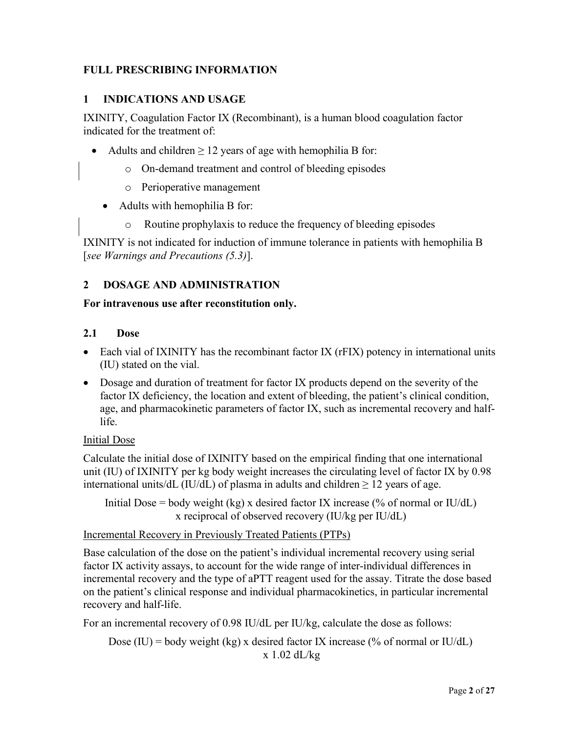# **FULL PRESCRIBING INFORMATION**

#### <span id="page-1-0"></span>**1 INDICATIONS AND USAGE**

IXINITY, Coagulation Factor IX (Recombinant), is a human blood coagulation factor indicated for the treatment of:

- Adults and children  $\geq 12$  years of age with hemophilia B for:
	- o On-demand treatment and control of bleeding episodes
	- o Perioperative management
	- Adults with hemophilia B for:
		- o Routine prophylaxis to reduce the frequency of bleeding episodes

IXINITY is not indicated for induction of immune tolerance in patients with hemophilia B [*see Warnings and Precautions [\(5.3\)](#page-8-4)*].

## **2 DOSAGE AND ADMINISTRATION**

#### **For intravenous use after reconstitution only.**

#### <span id="page-1-1"></span>**2.1 Dose**

- Each vial of IXINITY has the recombinant factor IX (rFIX) potency in international units (IU) stated on the vial.
- Dosage and duration of treatment for factor IX products depend on the severity of the factor IX deficiency, the location and extent of bleeding, the patient's clinical condition, age, and pharmacokinetic parameters of factor IX, such as incremental recovery and halflife.

#### Initial Dose

Calculate the initial dose of IXINITY based on the empirical finding that one international unit (IU) of IXINITY per kg body weight increases the circulating level of factor IX by 0.98 international units/dL (IU/dL) of plasma in adults and children  $\geq$  12 years of age.

Initial Dose = body weight (kg) x desired factor IX increase (% of normal or IU/dL) x reciprocal of observed recovery (IU/kg per IU/dL)

## Incremental Recovery in Previously Treated Patients (PTPs)

Base calculation of the dose on the patient's individual incremental recovery using serial factor IX activity assays, to account for the wide range of inter-individual differences in incremental recovery and the type of aPTT reagent used for the assay. Titrate the dose based on the patient's clinical response and individual pharmacokinetics, in particular incremental recovery and half-life.

For an incremental recovery of 0.98 IU/dL per IU/kg, calculate the dose as follows:

Dose (IU) = body weight (kg) x desired factor IX increase (% of normal or IU/dL) x 1.02 dL/kg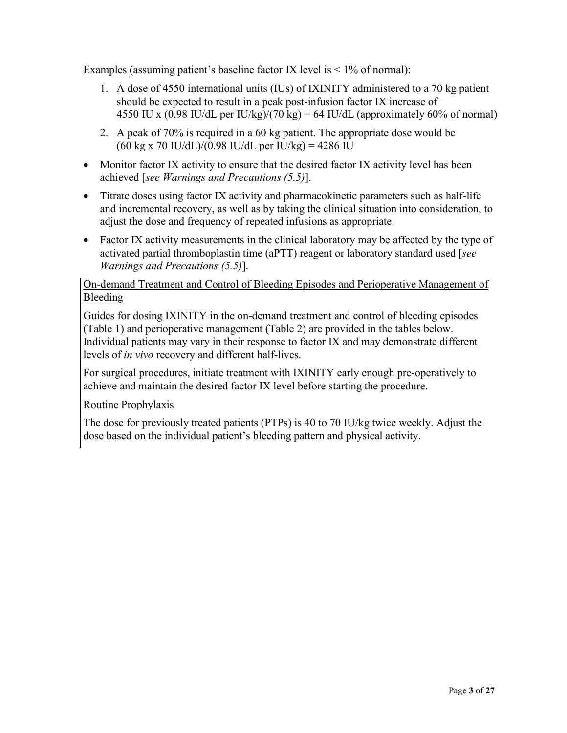Examples (assuming patient's baseline factor IX level is  $\leq 1\%$  of normal):

- 1. A dose of 4550 international units (IUs) of IXINITY administered to a 70 kg patient should be expected to result in a peak post-infusion factor IX increase of 4550 IU x (0.98 IU/dL per IU/kg)/(70 kg) = 64 IU/dL (approximately 60% of normal)
- 2. A peak of 70% is required in a 60 kg patient. The appropriate dose would be  $(60 \text{ kg x } 70 \text{ IU}/dL)/(0.98 \text{ IU}/dL \text{ per IU}/kg) = 4286 \text{ IU}$
- Monitor factor IX activity to ensure that the desired factor IX activity level has been achieved [*see Warnings and Precautions [\(5.5\)](#page-9-2)*].
- Titrate doses using factor IX activity and pharmacokinetic parameters such as half-life and incremental recovery, as well as by taking the clinical situation into consideration, to adjust the dose and frequency of repeated infusions as appropriate.
- Factor IX activity measurements in the clinical laboratory may be affected by the type of activated partial thromboplastin time (aPTT) reagent or laboratory standard used [*see Warnings and Precautions [\(5.5\)](#page-9-2)*].

## On-demand Treatment and Control of Bleeding Episodes and Perioperative Management of Bleeding

Guides for dosing IXINITY in the on-demand treatment and control of bleeding episodes [\(Table 1\)](#page-3-0) and perioperative management [\(Table 2\)](#page-3-1) are provided in the tables below. Individual patients may vary in their response to factor IX and may demonstrate different levels of *in vivo* recovery and different half-lives.

For surgical procedures, initiate treatment with IXINITY early enough pre-operatively to achieve and maintain the desired factor IX level before starting the procedure.

## Routine Prophylaxis

The dose for previously treated patients (PTPs) is 40 to 70 IU/kg twice weekly. Adjust the dose based on the individual patient's bleeding pattern and physical activity.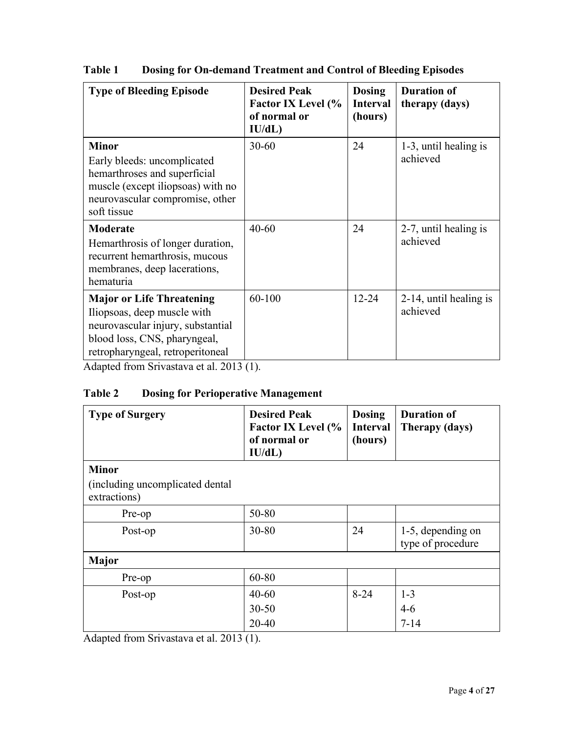| <b>Type of Bleeding Episode</b>                                                                                                                                          | <b>Desired Peak</b><br><b>Factor IX Level (%</b><br>of normal or<br>IU/dL) | <b>Dosing</b><br><b>Interval</b><br>(hours) | <b>Duration of</b><br>therapy (days) |
|--------------------------------------------------------------------------------------------------------------------------------------------------------------------------|----------------------------------------------------------------------------|---------------------------------------------|--------------------------------------|
| <b>Minor</b><br>Early bleeds: uncomplicated<br>hemarthroses and superficial<br>muscle (except iliopsoas) with no<br>neurovascular compromise, other<br>soft tissue       | $30 - 60$                                                                  | 24                                          | 1-3, until healing is<br>achieved    |
| <b>Moderate</b><br>Hemarthrosis of longer duration,<br>recurrent hemarthrosis, mucous<br>membranes, deep lacerations,<br>hematuria                                       | $40 - 60$                                                                  | 24                                          | 2-7, until healing is<br>achieved    |
| <b>Major or Life Threatening</b><br>Iliopsoas, deep muscle with<br>neurovascular injury, substantial<br>blood loss, CNS, pharyngeal,<br>retropharyngeal, retroperitoneal | 60-100                                                                     | $12 - 24$                                   | 2-14, until healing is<br>achieved   |

<span id="page-3-0"></span>**Table 1 Dosing for On-demand Treatment and Control of Bleeding Episodes**

Adapted from Srivastava et al. 2013 [\(1\)](#page-16-0).

# <span id="page-3-1"></span>**Table 2 Dosing for Perioperative Management**

| <b>Type of Surgery</b>                                           | <b>Desired Peak</b><br><b>Factor IX Level (%</b><br>of normal or<br>IU/dL) | <b>Dosing</b><br><b>Interval</b><br>(hours) | <b>Duration of</b><br>Therapy (days)   |
|------------------------------------------------------------------|----------------------------------------------------------------------------|---------------------------------------------|----------------------------------------|
| <b>Minor</b><br>(including uncomplicated dental)<br>extractions) |                                                                            |                                             |                                        |
| Pre-op                                                           | 50-80                                                                      |                                             |                                        |
| Post-op                                                          | $30 - 80$                                                                  | 24                                          | 1-5, depending on<br>type of procedure |
| <b>Major</b>                                                     |                                                                            |                                             |                                        |
| Pre-op                                                           | 60-80                                                                      |                                             |                                        |
| Post-op                                                          | $40 - 60$<br>$30 - 50$                                                     | $8 - 24$                                    | $1 - 3$<br>$4-6$                       |
|                                                                  | $20 - 40$                                                                  |                                             | $7 - 14$                               |

Adapted from Srivastava et al. 2013 [\(1\)](#page-16-0).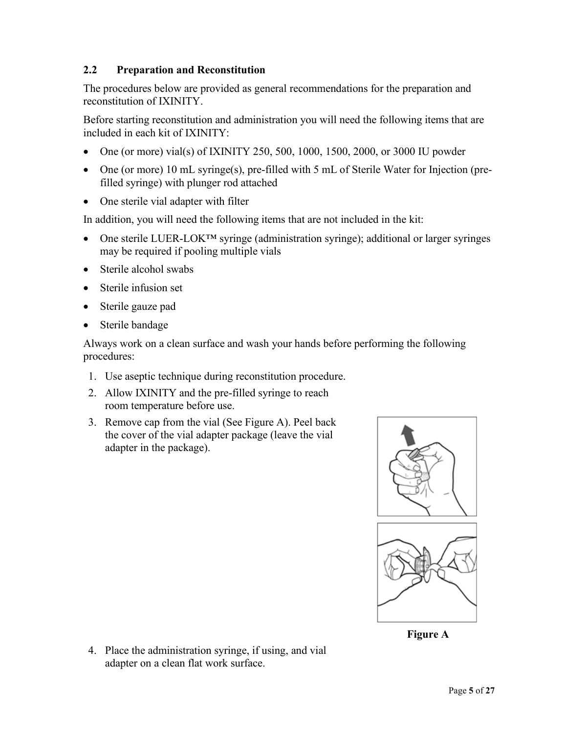## **2.2 Preparation and Reconstitution**

The procedures below are provided as general recommendations for the preparation and reconstitution of IXINITY.

Before starting reconstitution and administration you will need the following items that are included in each kit of IXINITY:

- One (or more) vial(s) of IXINITY 250, 500, 1000, 1500, 2000, or 3000 IU powder
- One (or more) 10 mL syringe(s), pre-filled with 5 mL of Sterile Water for Injection (prefilled syringe) with plunger rod attached
- One sterile vial adapter with filter

In addition, you will need the following items that are not included in the kit:

- One sterile LUER-LOK<sup>TM</sup> syringe (administration syringe); additional or larger syringes may be required if pooling multiple vials
- Sterile alcohol swabs
- Sterile infusion set
- Sterile gauze pad
- Sterile bandage

Always work on a clean surface and wash your hands before performing the following procedures:

- 1. Use aseptic technique during reconstitution procedure.
- 2. Allow IXINITY and the pre-filled syringe to reach room temperature before use.
- 3. Remove cap from the vial (See Figure A). Peel back the cover of the vial adapter package (leave the vial adapter in the package).



**Figure A**

4. Place the administration syringe, if using, and vial adapter on a clean flat work surface.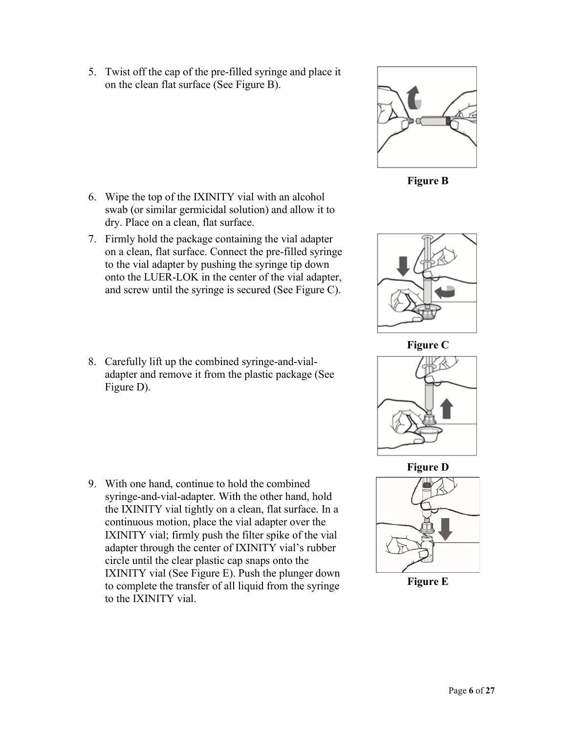5. Twist off the cap of the pre-filled syringe and place it on the clean flat surface (See Figure B).

- 6. Wipe the top of the IXINITY vial with an alcohol swab (or similar germicidal solution) and allow it to dry. Place on a clean, flat surface.
- 7. Firmly hold the package containing the vial adapter on a clean, flat surface. Connect the pre-filled syringe to the vial adapter by pushing the syringe tip down onto the LUER-LOK in the center of the vial adapter, and screw until the syringe is secured (See Figure C).
- 8. Carefully lift up the combined syringe-and-vialadapter and remove it from the plastic package (See Figure D).

9. With one hand, continue to hold the combined syringe-and-vial-adapter. With the other hand, hold the IXINITY vial tightly on a clean, flat surface. In a continuous motion, place the vial adapter over the IXINITY vial; firmly push the filter spike of the vial adapter through the center of IXINITY vial's rubber circle until the clear plastic cap snaps onto the IXINITY vial (See Figure E). Push the plunger down to complete the transfer of all liquid from the syringe to the IXINITY vial.



**Figure B**



**Figure C**







**Figure E**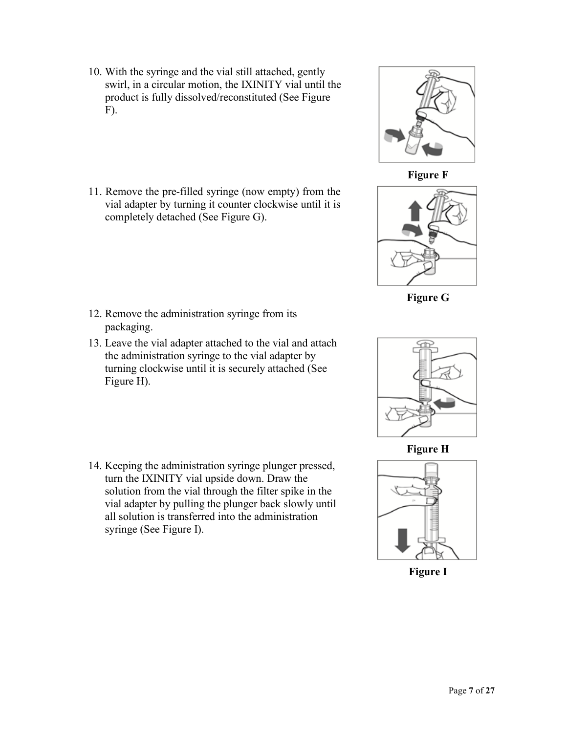- 10. With the syringe and the vial still attached, gently swirl, in a circular motion, the IXINITY vial until the product is fully dissolved/reconstituted (See Figure F).
- 11. Remove the pre-filled syringe (now empty) from the vial adapter by turning it counter clockwise until it is completely detached (See Figure G).

- 12. Remove the administration syringe from its packaging.
- 13. Leave the vial adapter attached to the vial and attach the administration syringe to the vial adapter by turning clockwise until it is securely attached (See Figure H).
- 14. Keeping the administration syringe plunger pressed, turn the IXINITY vial upside down. Draw the solution from the vial through the filter spike in the vial adapter by pulling the plunger back slowly until all solution is transferred into the administration syringe (See Figure I).



**Figure F**



**Figure G**



**Figure H**



**Figure I**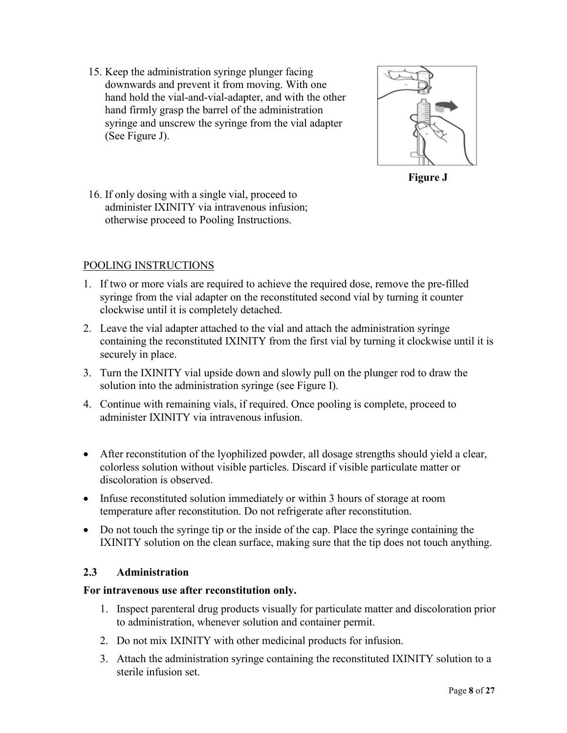15. Keep the administration syringe plunger facing downwards and prevent it from moving. With one hand hold the vial-and-vial-adapter, and with the other hand firmly grasp the barrel of the administration syringe and unscrew the syringe from the vial adapter (See Figure J).



**Figure J**

16. If only dosing with a single vial, proceed to administer IXINITY via intravenous infusion; otherwise proceed to Pooling Instructions.

## POOLING INSTRUCTIONS

- 1. If two or more vials are required to achieve the required dose, remove the pre-filled syringe from the vial adapter on the reconstituted second vial by turning it counter clockwise until it is completely detached.
- 2. Leave the vial adapter attached to the vial and attach the administration syringe containing the reconstituted IXINITY from the first vial by turning it clockwise until it is securely in place.
- 3. Turn the IXINITY vial upside down and slowly pull on the plunger rod to draw the solution into the administration syringe (see Figure I).
- 4. Continue with remaining vials, if required. Once pooling is complete, proceed to administer IXINITY via intravenous infusion.
- After reconstitution of the lyophilized powder, all dosage strengths should yield a clear, colorless solution without visible particles. Discard if visible particulate matter or discoloration is observed.
- Infuse reconstituted solution immediately or within 3 hours of storage at room temperature after reconstitution. Do not refrigerate after reconstitution.
- Do not touch the syringe tip or the inside of the cap. Place the syringe containing the IXINITY solution on the clean surface, making sure that the tip does not touch anything.

## **2.3 Administration**

#### **For intravenous use after reconstitution only.**

- 1. Inspect parenteral drug products visually for particulate matter and discoloration prior to administration, whenever solution and container permit.
- 2. Do not mix IXINITY with other medicinal products for infusion.
- 3. Attach the administration syringe containing the reconstituted IXINITY solution to a sterile infusion set.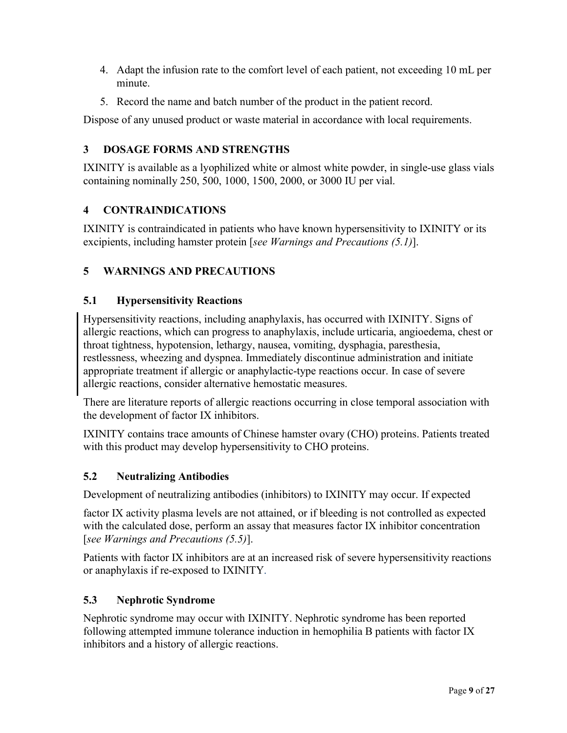- 4. Adapt the infusion rate to the comfort level of each patient, not exceeding 10 mL per minute.
- 5. Record the name and batch number of the product in the patient record.

Dispose of any unused product or waste material in accordance with local requirements.

# <span id="page-8-1"></span>**3 DOSAGE FORMS AND STRENGTHS**

IXINITY is available as a lyophilized white or almost white powder, in single-use glass vials containing nominally 250, 500, 1000, 1500, 2000, or 3000 IU per vial.

# <span id="page-8-2"></span>**4 CONTRAINDICATIONS**

IXINITY is contraindicated in patients who have known hypersensitivity to IXINITY or its excipients, including hamster protein [*see Warnings and Precautions [\(5.1\)](#page-8-0)*].

# **5 WARNINGS AND PRECAUTIONS**

## <span id="page-8-0"></span>**5.1 Hypersensitivity Reactions**

Hypersensitivity reactions, including anaphylaxis, has occurred with IXINITY. Signs of allergic reactions, which can progress to anaphylaxis, include urticaria, angioedema, chest or throat tightness, hypotension, lethargy, nausea, vomiting, dysphagia, paresthesia, restlessness, wheezing and dyspnea. Immediately discontinue administration and initiate appropriate treatment if allergic or anaphylactic-type reactions occur. In case of severe allergic reactions, consider alternative hemostatic measures.

There are literature reports of allergic reactions occurring in close temporal association with the development of factor IX inhibitors.

IXINITY contains trace amounts of Chinese hamster ovary (CHO) proteins. Patients treated with this product may develop hypersensitivity to CHO proteins.

## <span id="page-8-3"></span>**5.2 Neutralizing Antibodies**

Development of neutralizing antibodies (inhibitors) to IXINITY may occur. If expected

factor IX activity plasma levels are not attained, or if bleeding is not controlled as expected with the calculated dose, perform an assay that measures factor IX inhibitor concentration [*see Warnings and Precautions [\(5.5\)](#page-9-2)*].

Patients with factor IX inhibitors are at an increased risk of severe hypersensitivity reactions or anaphylaxis if re-exposed to IXINITY.

## <span id="page-8-4"></span>**5.3 Nephrotic Syndrome**

Nephrotic syndrome may occur with IXINITY. Nephrotic syndrome has been reported following attempted immune tolerance induction in hemophilia B patients with factor IX inhibitors and a history of allergic reactions.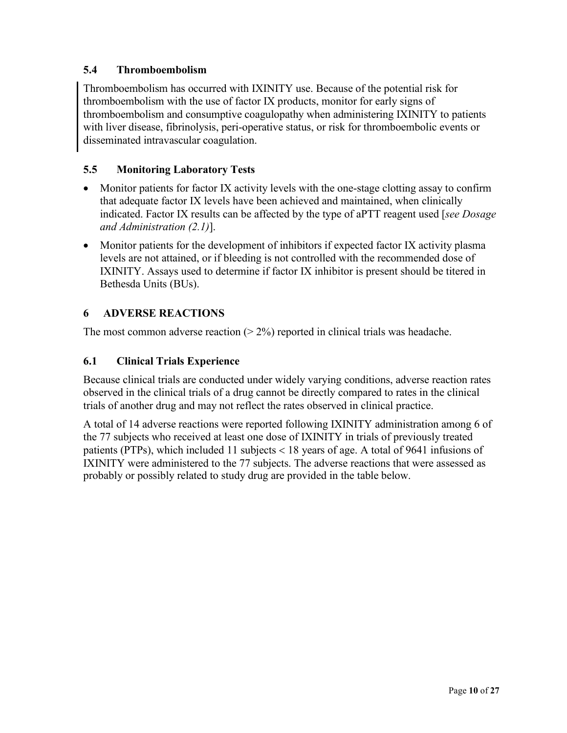# <span id="page-9-0"></span>**5.4 Thromboembolism**

Thromboembolism has occurred with IXINITY use. Because of the potential risk for thromboembolism with the use of factor IX products, monitor for early signs of thromboembolism and consumptive coagulopathy when administering IXINITY to patients with liver disease, fibrinolysis, peri-operative status, or risk for thromboembolic events or disseminated intravascular coagulation.

## <span id="page-9-2"></span>**5.5 Monitoring Laboratory Tests**

- Monitor patients for factor IX activity levels with the one-stage clotting assay to confirm that adequate factor IX levels have been achieved and maintained, when clinically indicated. Factor IX results can be affected by the type of aPTT reagent used [*see Dosage and Administration [\(2.1\)](#page-1-1)*].
- Monitor patients for the development of inhibitors if expected factor IX activity plasma levels are not attained, or if bleeding is not controlled with the recommended dose of IXINITY. Assays used to determine if factor IX inhibitor is present should be titered in Bethesda Units (BUs).

# **6 ADVERSE REACTIONS**

The most common adverse reaction  $(2\%)$  reported in clinical trials was headache.

## <span id="page-9-1"></span>**6.1 Clinical Trials Experience**

Because clinical trials are conducted under widely varying conditions, adverse reaction rates observed in the clinical trials of a drug cannot be directly compared to rates in the clinical trials of another drug and may not reflect the rates observed in clinical practice.

A total of 14 adverse reactions were reported following IXINITY administration among 6 of the 77 subjects who received at least one dose of IXINITY in trials of previously treated patients (PTPs), which included 11 subjects < 18 years of age. A total of 9641 infusions of IXINITY were administered to the 77 subjects. The adverse reactions that were assessed as probably or possibly related to study drug are provided in the table below.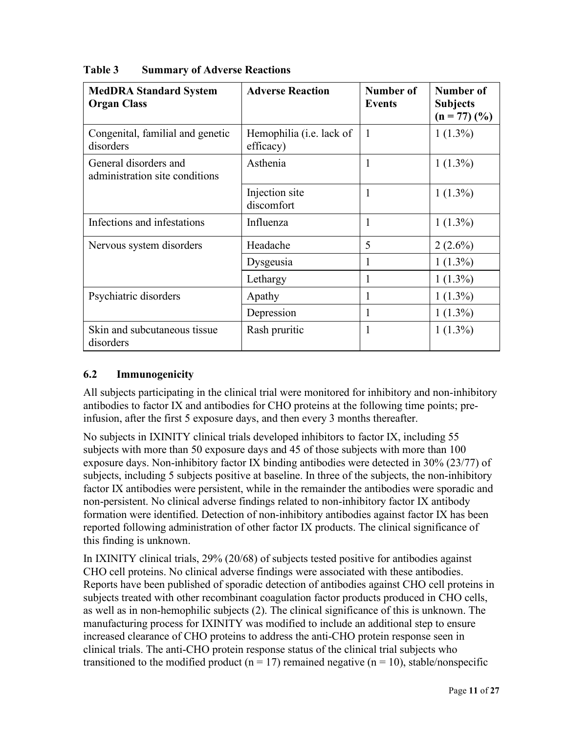| <b>MedDRA Standard System</b><br><b>Organ Class</b>     | <b>Adverse Reaction</b>                       | Number of<br><b>Events</b> | Number of<br><b>Subjects</b><br>$(n = 77)$ $(\frac{9}{6})$ |
|---------------------------------------------------------|-----------------------------------------------|----------------------------|------------------------------------------------------------|
| Congenital, familial and genetic<br>disorders           | Hemophilia ( <i>i.e.</i> lack of<br>efficacy) | 1                          | $1(1.3\%)$                                                 |
| General disorders and<br>administration site conditions | Asthenia                                      | 1                          | $1(1.3\%)$                                                 |
|                                                         | Injection site<br>discomfort                  |                            | $1(1.3\%)$                                                 |
| Infections and infestations                             | Influenza                                     |                            | $1(1.3\%)$                                                 |
| Nervous system disorders                                | Headache                                      | 5                          | $2(2.6\%)$                                                 |
|                                                         | Dysgeusia                                     | 1                          | $1(1.3\%)$                                                 |
|                                                         | Lethargy                                      | 1                          | $1(1.3\%)$                                                 |
| Psychiatric disorders                                   | Apathy                                        | 1                          | $1(1.3\%)$                                                 |
|                                                         | Depression                                    | 1                          | $1(1.3\%)$                                                 |
| Skin and subcutaneous tissue<br>disorders               | Rash pruritic                                 |                            | $1(1.3\%)$                                                 |

## **Table 3 Summary of Adverse Reactions**

## **6.2 Immunogenicity**

All subjects participating in the clinical trial were monitored for inhibitory and non-inhibitory antibodies to factor IX and antibodies for CHO proteins at the following time points; preinfusion, after the first 5 exposure days, and then every 3 months thereafter.

No subjects in IXINITY clinical trials developed inhibitors to factor IX, including 55 subjects with more than 50 exposure days and 45 of those subjects with more than 100 exposure days. Non-inhibitory factor IX binding antibodies were detected in 30% (23/77) of subjects, including 5 subjects positive at baseline. In three of the subjects, the non-inhibitory factor IX antibodies were persistent, while in the remainder the antibodies were sporadic and non-persistent. No clinical adverse findings related to non-inhibitory factor IX antibody formation were identified. Detection of non-inhibitory antibodies against factor IX has been reported following administration of other factor IX products. The clinical significance of this finding is unknown.

In IXINITY clinical trials, 29% (20/68) of subjects tested positive for antibodies against CHO cell proteins. No clinical adverse findings were associated with these antibodies. Reports have been published of sporadic detection of antibodies against CHO cell proteins in subjects treated with other recombinant coagulation factor products produced in CHO cells, as well as in non-hemophilic subjects [\(2\)](#page-16-1). The clinical significance of this is unknown. The manufacturing process for IXINITY was modified to include an additional step to ensure increased clearance of CHO proteins to address the anti-CHO protein response seen in clinical trials. The anti-CHO protein response status of the clinical trial subjects who transitioned to the modified product ( $n = 17$ ) remained negative ( $n = 10$ ), stable/nonspecific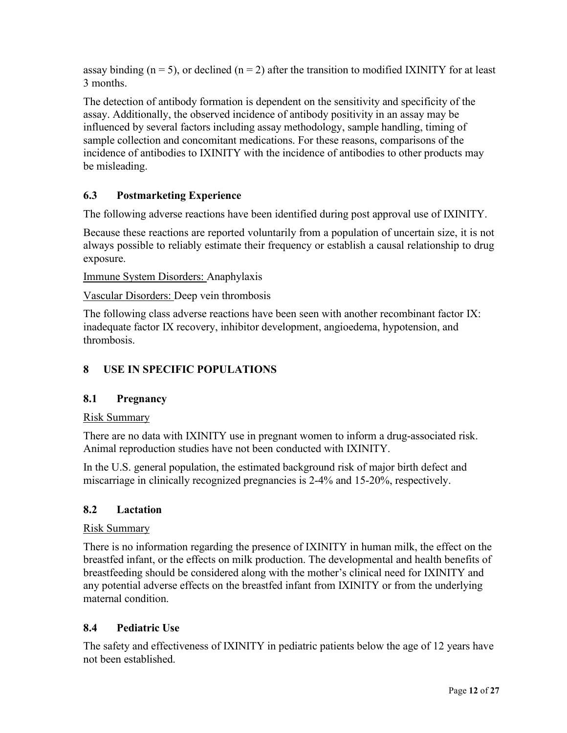assay binding ( $n = 5$ ), or declined ( $n = 2$ ) after the transition to modified IXINITY for at least 3 months.

The detection of antibody formation is dependent on the sensitivity and specificity of the assay. Additionally, the observed incidence of antibody positivity in an assay may be influenced by several factors including assay methodology, sample handling, timing of sample collection and concomitant medications. For these reasons, comparisons of the incidence of antibodies to IXINITY with the incidence of antibodies to other products may be misleading.

# **6.3 Postmarketing Experience**

The following adverse reactions have been identified during post approval use of IXINITY.

Because these reactions are reported voluntarily from a population of uncertain size, it is not always possible to reliably estimate their frequency or establish a causal relationship to drug exposure.

Immune System Disorders: Anaphylaxis

Vascular Disorders: Deep vein thrombosis

The following class adverse reactions have been seen with another recombinant factor IX: inadequate factor IX recovery, inhibitor development, angioedema, hypotension, and thrombosis.

# **8 USE IN SPECIFIC POPULATIONS**

## **8.1 Pregnancy**

#### Risk Summary

There are no data with IXINITY use in pregnant women to inform a drug-associated risk. Animal reproduction studies have not been conducted with IXINITY.

In the U.S. general population, the estimated background risk of major birth defect and miscarriage in clinically recognized pregnancies is 2-4% and 15-20%, respectively.

## **8.2 Lactation**

#### Risk Summary

There is no information regarding the presence of IXINITY in human milk, the effect on the breastfed infant, or the effects on milk production. The developmental and health benefits of breastfeeding should be considered along with the mother's clinical need for IXINITY and any potential adverse effects on the breastfed infant from IXINITY or from the underlying maternal condition.

## **8.4 Pediatric Use**

The safety and effectiveness of IXINITY in pediatric patients below the age of 12 years have not been established.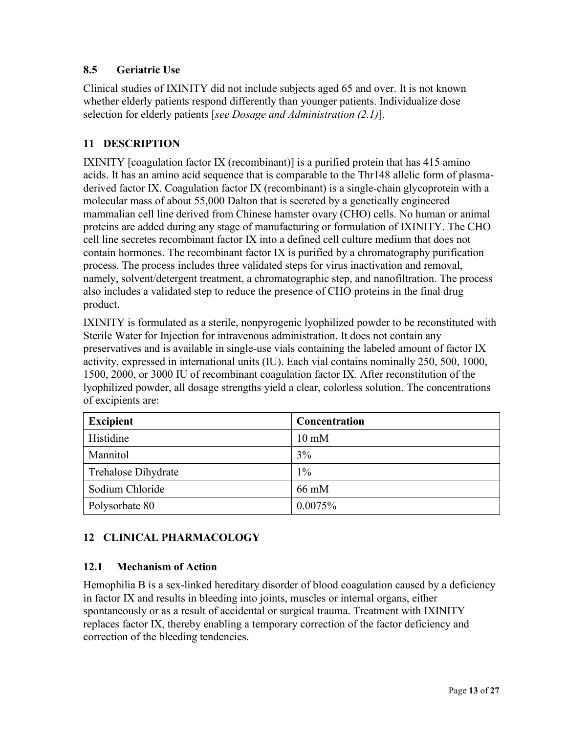# **8.5 Geriatric Use**

Clinical studies of IXINITY did not include subjects aged 65 and over. It is not known whether elderly patients respond differently than younger patients. Individualize dose selection for elderly patients [*see Dosage and Administration [\(2.1\)](#page-1-1)*].

## **11 DESCRIPTION**

IXINITY [coagulation factor IX (recombinant)] is a purified protein that has 415 amino acids. It has an amino acid sequence that is comparable to the Thr148 allelic form of plasmaderived factor IX. Coagulation factor IX (recombinant) is a single-chain glycoprotein with a molecular mass of about 55,000 Dalton that is secreted by a genetically engineered mammalian cell line derived from Chinese hamster ovary (CHO) cells. No human or animal proteins are added during any stage of manufacturing or formulation of IXINITY. The CHO cell line secretes recombinant factor IX into a defined cell culture medium that does not contain hormones. The recombinant factor IX is purified by a chromatography purification process. The process includes three validated steps for virus inactivation and removal, namely, solvent/detergent treatment, a chromatographic step, and nanofiltration. The process also includes a validated step to reduce the presence of CHO proteins in the final drug product.

IXINITY is formulated as a sterile, nonpyrogenic lyophilized powder to be reconstituted with Sterile Water for Injection for intravenous administration. It does not contain any preservatives and is available in single-use vials containing the labeled amount of factor IX activity, expressed in international units (IU). Each vial contains nominally 250, 500, 1000, 1500, 2000, or 3000 IU of recombinant coagulation factor IX. After reconstitution of the lyophilized powder, all dosage strengths yield a clear, colorless solution. The concentrations of excipients are:

| <b>Excipient</b>    | Concentration   |
|---------------------|-----------------|
| Histidine           | $10 \text{ mM}$ |
| Mannitol            | 3%              |
| Trehalose Dihydrate | $1\%$           |
| Sodium Chloride     | 66 mM           |
| Polysorbate 80      | 0.0075%         |

# **12 CLINICAL PHARMACOLOGY**

## **12.1 Mechanism of Action**

Hemophilia B is a sex-linked hereditary disorder of blood coagulation caused by a deficiency in factor IX and results in bleeding into joints, muscles or internal organs, either spontaneously or as a result of accidental or surgical trauma. Treatment with IXINITY replaces factor IX, thereby enabling a temporary correction of the factor deficiency and correction of the bleeding tendencies.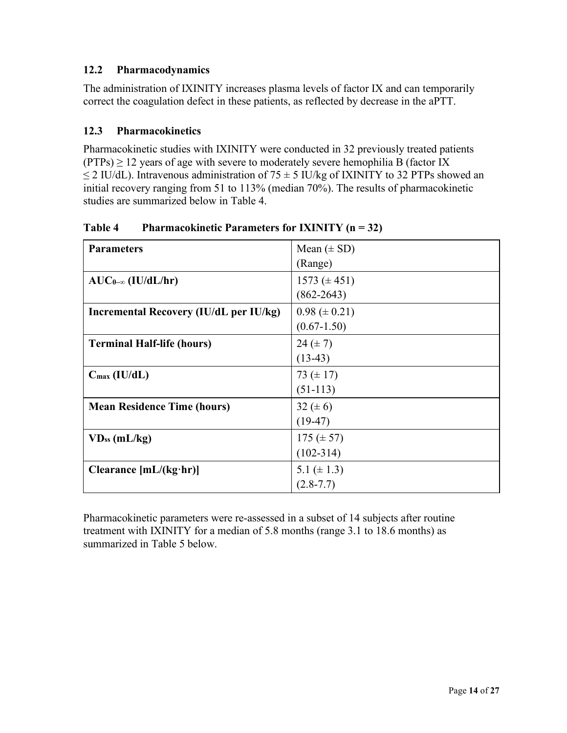## **12.2 Pharmacodynamics**

The administration of IXINITY increases plasma levels of factor IX and can temporarily correct the coagulation defect in these patients, as reflected by decrease in the aPTT.

## **12.3 Pharmacokinetics**

Pharmacokinetic studies with IXINITY were conducted in 32 previously treated patients  $(PTPs) \ge 12$  years of age with severe to moderately severe hemophilia B (factor IX  $\leq$  2 IU/dL). Intravenous administration of 75  $\pm$  5 IU/kg of IXINITY to 32 PTPs showed an initial recovery ranging from 51 to 113% (median 70%). The results of pharmacokinetic studies are summarized below [in Table 4.](#page-13-0)

| <b>Parameters</b>                      | Mean $(\pm SD)$     |
|----------------------------------------|---------------------|
|                                        | (Range)             |
| $AUC_{0-\infty}$ (IU/dL/hr)            | 1573 $(\pm 451)$    |
|                                        | $(862 - 2643)$      |
| Incremental Recovery (IU/dL per IU/kg) | $0.98 \ (\pm 0.21)$ |
|                                        | $(0.67 - 1.50)$     |
| <b>Terminal Half-life (hours)</b>      | 24 $(\pm 7)$        |
|                                        | $(13-43)$           |
| $C_{\text{max}}$ (IU/dL)               | 73 $(\pm 17)$       |
|                                        | $(51-113)$          |
| <b>Mean Residence Time (hours)</b>     | 32 $(\pm 6)$        |
|                                        | $(19-47)$           |
| $VD_{ss}$ (mL/kg)                      | 175 $(\pm 57)$      |
|                                        | $(102 - 314)$       |
| Clearance $[mL/(kg \cdot hr)]$         | 5.1 ( $\pm$ 1.3)    |
|                                        | $(2.8 - 7.7)$       |

<span id="page-13-0"></span>**Table 4 Pharmacokinetic Parameters for IXINITY (n = 32)**

Pharmacokinetic parameters were re-assessed in a subset of 14 subjects after routine treatment with IXINITY for a median of 5.8 months (range 3.1 to 18.6 months) as summarized [in Table 5](#page-14-0) below.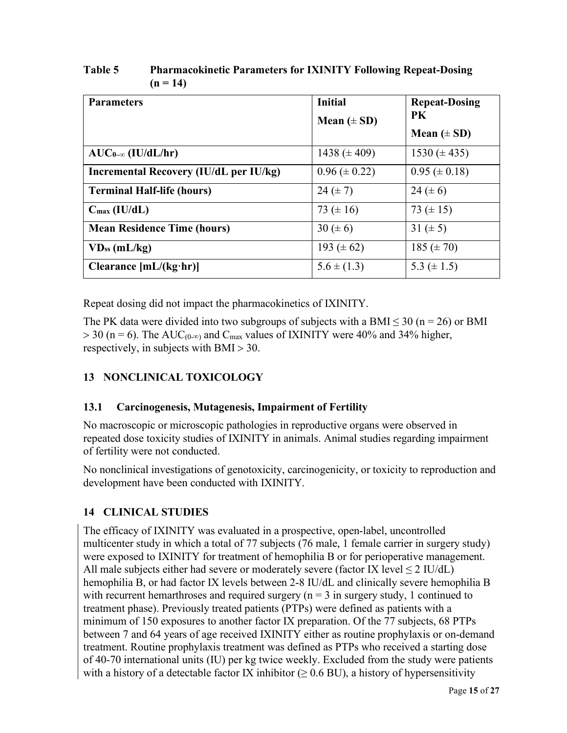| <b>Parameters</b>                      | <b>Initial</b>      | <b>Repeat-Dosing</b> |
|----------------------------------------|---------------------|----------------------|
|                                        | Mean $(\pm SD)$     | PK                   |
|                                        |                     | Mean $(\pm SD)$      |
| $AUC_{0-\infty}$ (IU/dL/hr)            | 1438 $(\pm 409)$    | $1530 (\pm 435)$     |
| Incremental Recovery (IU/dL per IU/kg) | $0.96 \ (\pm 0.22)$ | $0.95 \ (\pm 0.18)$  |
| <b>Terminal Half-life (hours)</b>      | 24 $(\pm 7)$        | 24 $(\pm 6)$         |
| $C_{\text{max}}$ (IU/dL)               | 73 $(\pm 16)$       | 73 $(\pm 15)$        |
| <b>Mean Residence Time (hours)</b>     | 30 ( $\pm$ 6)       | 31 $(\pm 5)$         |
| $VD_{ss}$ (mL/kg)                      | 193 $(\pm 62)$      | 185 $(\pm 70)$       |
| Clearance $[mL/(kg \cdot hr)]$         | $5.6 \pm (1.3)$     | 5.3 $(\pm 1.5)$      |

<span id="page-14-0"></span>**Table 5 Pharmacokinetic Parameters for IXINITY Following Repeat-Dosing**  $(n = 14)$ 

Repeat dosing did not impact the pharmacokinetics of IXINITY.

The PK data were divided into two subgroups of subjects with a BMI  $\leq$  30 (n = 26) or BMI  $> 30$  (n = 6). The AUC<sub>(0-∞)</sub> and C<sub>max</sub> values of IXINITY were 40% and 34% higher, respectively, in subjects with BMI > 30.

# **13 NONCLINICAL TOXICOLOGY**

## **13.1 Carcinogenesis, Mutagenesis, Impairment of Fertility**

No macroscopic or microscopic pathologies in reproductive organs were observed in repeated dose toxicity studies of IXINITY in animals. Animal studies regarding impairment of fertility were not conducted.

No nonclinical investigations of genotoxicity, carcinogenicity, or toxicity to reproduction and development have been conducted with IXINITY.

# **14 CLINICAL STUDIES**

The efficacy of IXINITY was evaluated in a prospective, open-label, uncontrolled multicenter study in which a total of 77 subjects (76 male, 1 female carrier in surgery study) were exposed to IXINITY for treatment of hemophilia B or for perioperative management. All male subjects either had severe or moderately severe (factor IX level  $\leq 2$  IU/dL) hemophilia B, or had factor IX levels between 2-8 IU/dL and clinically severe hemophilia B with recurrent hemarthroses and required surgery  $(n = 3$  in surgery study, 1 continued to treatment phase). Previously treated patients (PTPs) were defined as patients with a minimum of 150 exposures to another factor IX preparation. Of the 77 subjects, 68 PTPs between 7 and 64 years of age received IXINITY either as routine prophylaxis or on-demand treatment. Routine prophylaxis treatment was defined as PTPs who received a starting dose of 40-70 international units (IU) per kg twice weekly. Excluded from the study were patients with a history of a detectable factor IX inhibitor ( $\geq 0.6$  BU), a history of hypersensitivity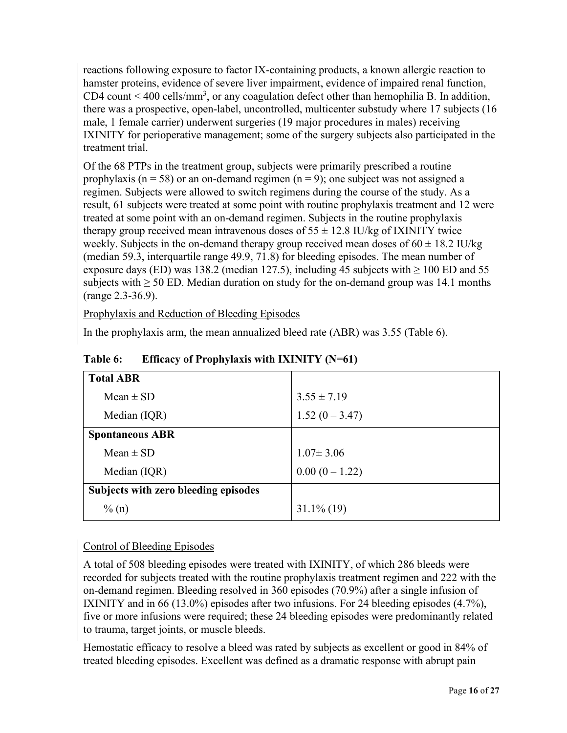reactions following exposure to factor IX-containing products, a known allergic reaction to hamster proteins, evidence of severe liver impairment, evidence of impaired renal function, CD4 count  $\leq 400$  cells/mm<sup>3</sup>, or any coagulation defect other than hemophilia B. In addition, there was a prospective, open-label, uncontrolled, multicenter substudy where 17 subjects (16 male, 1 female carrier) underwent surgeries (19 major procedures in males) receiving IXINITY for perioperative management; some of the surgery subjects also participated in the treatment trial.

Of the 68 PTPs in the treatment group, subjects were primarily prescribed a routine prophylaxis ( $n = 58$ ) or an on-demand regimen ( $n = 9$ ); one subject was not assigned a regimen. Subjects were allowed to switch regimens during the course of the study. As a result, 61 subjects were treated at some point with routine prophylaxis treatment and 12 were treated at some point with an on-demand regimen. Subjects in the routine prophylaxis therapy group received mean intravenous doses of  $55 \pm 12.8$  IU/kg of IXINITY twice weekly. Subjects in the on-demand therapy group received mean doses of  $60 \pm 18.2$  IU/kg (median 59.3, interquartile range 49.9, 71.8) for bleeding episodes. The mean number of exposure days (ED) was 138.2 (median 127.5), including 45 subjects with  $\geq 100$  ED and 55 subjects with  $\geq$  50 ED. Median duration on study for the on-demand group was 14.1 months (range 2.3-36.9).

Prophylaxis and Reduction of Bleeding Episodes

In the prophylaxis arm, the mean annualized bleed rate (ABR) was 3.55 [\(Table](#page-15-0) 6).

| <b>Total ABR</b>                     |                  |
|--------------------------------------|------------------|
| $Mean \pm SD$                        | $3.55 \pm 7.19$  |
| Median (IQR)                         | $1.52(0 - 3.47)$ |
| <b>Spontaneous ABR</b>               |                  |
| $Mean \pm SD$                        | $1.07 \pm 3.06$  |
| Median (IQR)                         | $0.00(0-1.22)$   |
| Subjects with zero bleeding episodes |                  |
| $\%$ (n)                             | $31.1\%$ (19)    |

<span id="page-15-0"></span>**Table 6: Efficacy of Prophylaxis with IXINITY (N=61)**

# Control of Bleeding Episodes

A total of 508 bleeding episodes were treated with IXINITY, of which 286 bleeds were recorded for subjects treated with the routine prophylaxis treatment regimen and 222 with the on-demand regimen. Bleeding resolved in 360 episodes (70.9%) after a single infusion of IXINITY and in 66 (13.0%) episodes after two infusions. For 24 bleeding episodes (4.7%), five or more infusions were required; these 24 bleeding episodes were predominantly related to trauma, target joints, or muscle bleeds.

Hemostatic efficacy to resolve a bleed was rated by subjects as excellent or good in 84% of treated bleeding episodes. Excellent was defined as a dramatic response with abrupt pain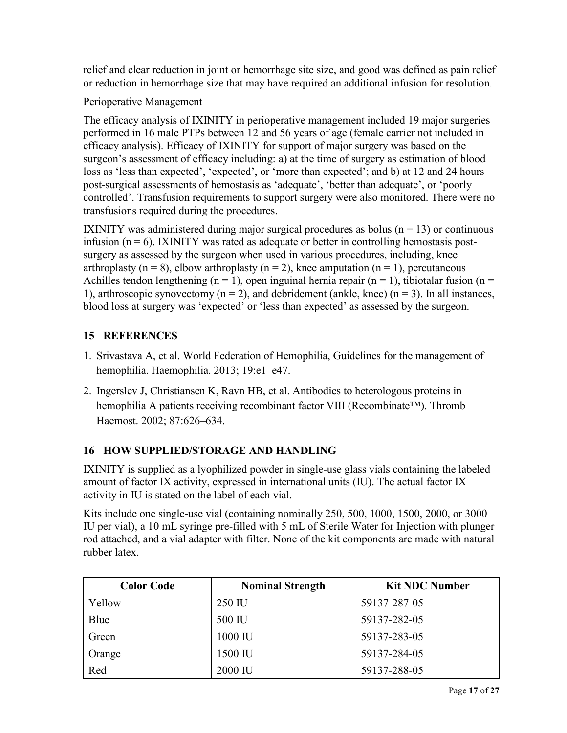relief and clear reduction in joint or hemorrhage site size, and good was defined as pain relief or reduction in hemorrhage size that may have required an additional infusion for resolution.

## Perioperative Management

The efficacy analysis of IXINITY in perioperative management included 19 major surgeries performed in 16 male PTPs between 12 and 56 years of age (female carrier not included in efficacy analysis). Efficacy of IXINITY for support of major surgery was based on the surgeon's assessment of efficacy including: a) at the time of surgery as estimation of blood loss as 'less than expected', 'expected', or 'more than expected'; and b) at 12 and 24 hours post-surgical assessments of hemostasis as 'adequate', 'better than adequate', or 'poorly controlled'. Transfusion requirements to support surgery were also monitored. There were no transfusions required during the procedures.

IXINITY was administered during major surgical procedures as bolus ( $n = 13$ ) or continuous infusion ( $n = 6$ ). IXINITY was rated as adequate or better in controlling hemostasis postsurgery as assessed by the surgeon when used in various procedures, including, knee arthroplasty ( $n = 8$ ), elbow arthroplasty ( $n = 2$ ), knee amputation ( $n = 1$ ), percutaneous Achilles tendon lengthening (n = 1), open inguinal hernia repair (n = 1), tibiotalar fusion (n = 1), arthroscopic synovectomy ( $n = 2$ ), and debridement (ankle, knee) ( $n = 3$ ). In all instances, blood loss at surgery was 'expected' or 'less than expected' as assessed by the surgeon.

# **15 REFERENCES**

- <span id="page-16-0"></span>1. Srivastava A, et al. World Federation of Hemophilia, Guidelines for the management of hemophilia. Haemophilia. 2013; 19:e1–e47.
- <span id="page-16-1"></span>2. Ingerslev J, Christiansen K, Ravn HB, et al. Antibodies to heterologous proteins in hemophilia A patients receiving recombinant factor VIII (Recombinate™). Thromb Haemost. 2002; 87:626–634.

## **16 HOW SUPPLIED/STORAGE AND HANDLING**

IXINITY is supplied as a lyophilized powder in single-use glass vials containing the labeled amount of factor IX activity, expressed in international units (IU). The actual factor IX activity in IU is stated on the label of each vial.

Kits include one single-use vial (containing nominally 250, 500, 1000, 1500, 2000, or 3000 IU per vial), a 10 mL syringe pre-filled with 5 mL of Sterile Water for Injection with plunger rod attached, and a vial adapter with filter. None of the kit components are made with natural rubber latex.

| <b>Color Code</b> | <b>Nominal Strength</b> | <b>Kit NDC Number</b> |
|-------------------|-------------------------|-----------------------|
| Yellow            | 250 IU                  | 59137-287-05          |
| Blue              | 500 IU                  | 59137-282-05          |
| Green             | 1000 IU                 | 59137-283-05          |
| Orange            | 1500 IU                 | 59137-284-05          |
| Red               | 2000 IU                 | 59137-288-05          |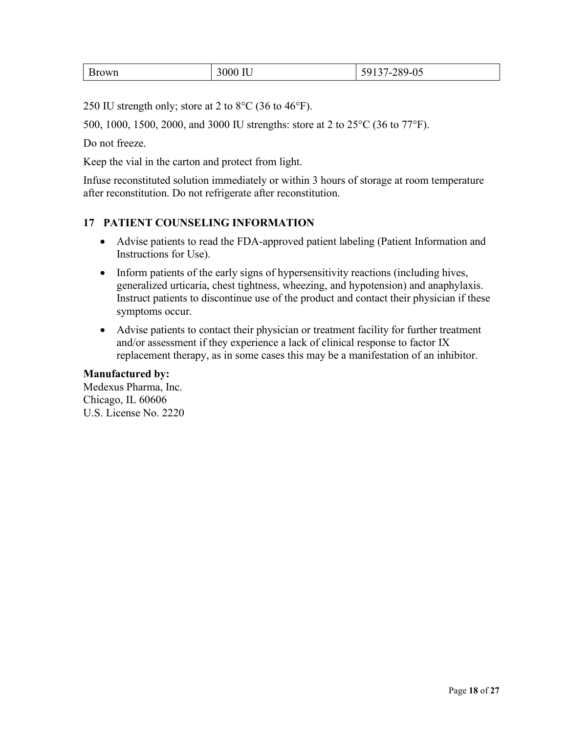| วwn | <b>TT</b> T<br>1 U | $289 - U$<br>``<br>$\overline{\phantom{a}}$<br>. J J<br>ັ |
|-----|--------------------|-----------------------------------------------------------|
|-----|--------------------|-----------------------------------------------------------|

250 IU strength only; store at 2 to 8°C (36 to 46°F).

500, 1000, 1500, 2000, and 3000 IU strengths: store at 2 to 25°C (36 to 77°F).

Do not freeze.

Keep the vial in the carton and protect from light.

Infuse reconstituted solution immediately or within 3 hours of storage at room temperature after reconstitution. Do not refrigerate after reconstitution.

#### <span id="page-17-0"></span>**17 PATIENT COUNSELING INFORMATION**

- Advise patients to read the FDA-approved patient labeling (Patient Information and Instructions for Use).
- Inform patients of the early signs of hypersensitivity reactions (including hives, generalized urticaria, chest tightness, wheezing, and hypotension) and anaphylaxis. Instruct patients to discontinue use of the product and contact their physician if these symptoms occur.
- Advise patients to contact their physician or treatment facility for further treatment and/or assessment if they experience a lack of clinical response to factor IX replacement therapy, as in some cases this may be a manifestation of an inhibitor.

#### **Manufactured by:**

Medexus Pharma, Inc. Chicago, IL 60606 U.S. License No. 2220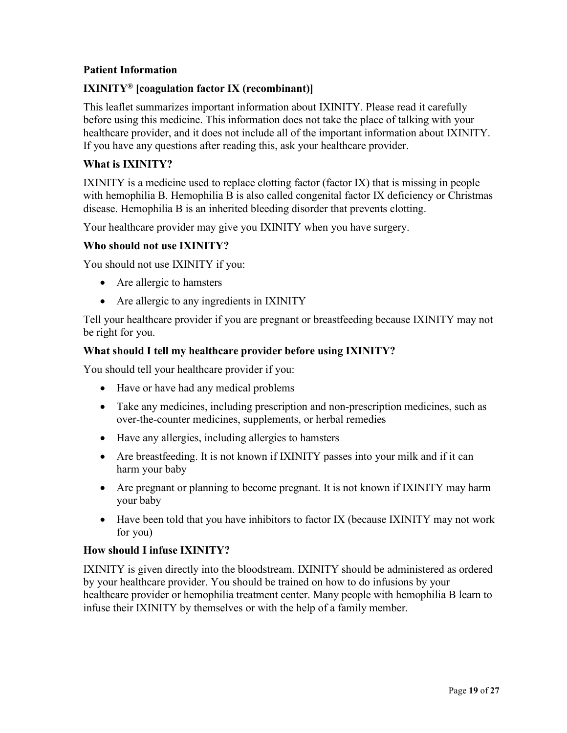#### **Patient Information**

## **IXINITY® [coagulation factor IX (recombinant)]**

This leaflet summarizes important information about IXINITY. Please read it carefully before using this medicine. This information does not take the place of talking with your healthcare provider, and it does not include all of the important information about IXINITY. If you have any questions after reading this, ask your healthcare provider.

#### **What is IXINITY?**

IXINITY is a medicine used to replace clotting factor (factor IX) that is missing in people with hemophilia B. Hemophilia B is also called congenital factor IX deficiency or Christmas disease. Hemophilia B is an inherited bleeding disorder that prevents clotting.

Your healthcare provider may give you IXINITY when you have surgery.

#### **Who should not use IXINITY?**

You should not use IXINITY if you:

- Are allergic to hamsters
- Are allergic to any ingredients in IXINITY

Tell your healthcare provider if you are pregnant or breastfeeding because IXINITY may not be right for you.

#### **What should I tell my healthcare provider before using IXINITY?**

You should tell your healthcare provider if you:

- Have or have had any medical problems
- Take any medicines, including prescription and non-prescription medicines, such as over-the-counter medicines, supplements, or herbal remedies
- Have any allergies, including allergies to hamsters
- Are breastfeeding. It is not known if IXINITY passes into your milk and if it can harm your baby
- Are pregnant or planning to become pregnant. It is not known if IXINITY may harm your baby
- Have been told that you have inhibitors to factor IX (because IXINITY may not work for you)

## **How should I infuse IXINITY?**

IXINITY is given directly into the bloodstream. IXINITY should be administered as ordered by your healthcare provider. You should be trained on how to do infusions by your healthcare provider or hemophilia treatment center. Many people with hemophilia B learn to infuse their IXINITY by themselves or with the help of a family member.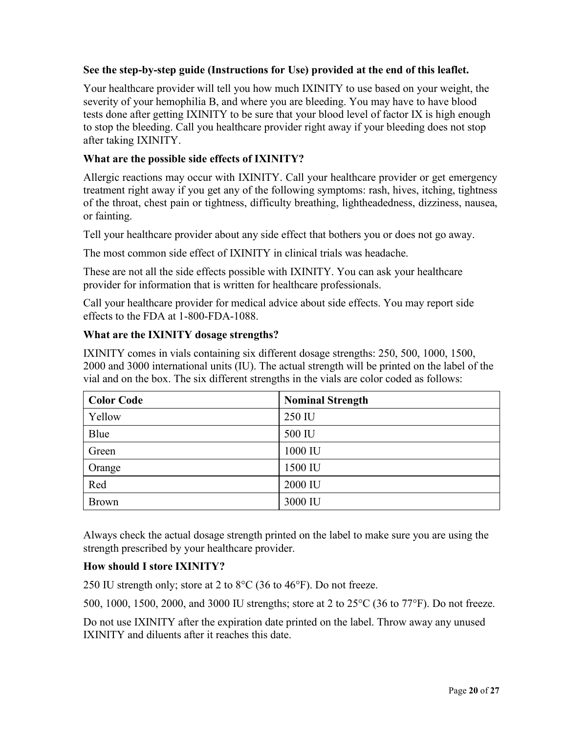#### **See the step-by-step guide (Instructions for Use) provided at the end of this leaflet.**

Your healthcare provider will tell you how much IXINITY to use based on your weight, the severity of your hemophilia B, and where you are bleeding. You may have to have blood tests done after getting IXINITY to be sure that your blood level of factor IX is high enough to stop the bleeding. Call you healthcare provider right away if your bleeding does not stop after taking IXINITY.

#### **What are the possible side effects of IXINITY?**

Allergic reactions may occur with IXINITY. Call your healthcare provider or get emergency treatment right away if you get any of the following symptoms: rash, hives, itching, tightness of the throat, chest pain or tightness, difficulty breathing, lightheadedness, dizziness, nausea, or fainting.

Tell your healthcare provider about any side effect that bothers you or does not go away.

The most common side effect of IXINITY in clinical trials was headache.

These are not all the side effects possible with IXINITY. You can ask your healthcare provider for information that is written for healthcare professionals.

Call your healthcare provider for medical advice about side effects. You may report side effects to the FDA at 1-800-FDA-1088.

#### **What are the IXINITY dosage strengths?**

IXINITY comes in vials containing six different dosage strengths: 250, 500, 1000, 1500, 2000 and 3000 international units (IU). The actual strength will be printed on the label of the vial and on the box. The six different strengths in the vials are color coded as follows:

| <b>Color Code</b> | <b>Nominal Strength</b> |
|-------------------|-------------------------|
| Yellow            | 250 IU                  |
| Blue              | 500 IU                  |
| Green             | 1000 IU                 |
| Orange            | 1500 IU                 |
| Red               | 2000 IU                 |
| <b>Brown</b>      | 3000 IU                 |

Always check the actual dosage strength printed on the label to make sure you are using the strength prescribed by your healthcare provider.

## **How should I store IXINITY?**

250 IU strength only; store at 2 to 8°C (36 to 46°F). Do not freeze.

500, 1000, 1500, 2000, and 3000 IU strengths; store at 2 to 25°C (36 to 77°F). Do not freeze.

Do not use IXINITY after the expiration date printed on the label. Throw away any unused IXINITY and diluents after it reaches this date.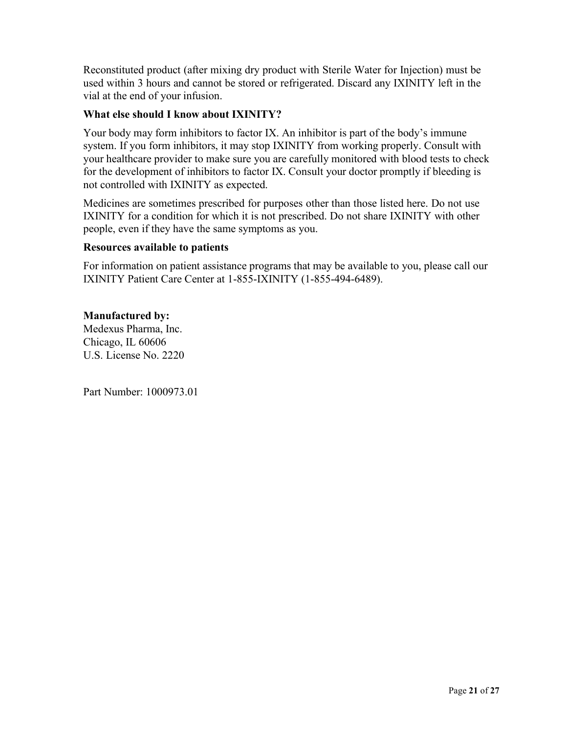Reconstituted product (after mixing dry product with Sterile Water for Injection) must be used within 3 hours and cannot be stored or refrigerated. Discard any IXINITY left in the vial at the end of your infusion.

#### **What else should I know about IXINITY?**

Your body may form inhibitors to factor IX. An inhibitor is part of the body's immune system. If you form inhibitors, it may stop IXINITY from working properly. Consult with your healthcare provider to make sure you are carefully monitored with blood tests to check for the development of inhibitors to factor IX. Consult your doctor promptly if bleeding is not controlled with IXINITY as expected.

Medicines are sometimes prescribed for purposes other than those listed here. Do not use IXINITY for a condition for which it is not prescribed. Do not share IXINITY with other people, even if they have the same symptoms as you.

#### **Resources available to patients**

For information on patient assistance programs that may be available to you, please call our IXINITY Patient Care Center at 1-855-IXINITY (1-855-494-6489).

#### **Manufactured by:**

Medexus Pharma, Inc. Chicago, IL 60606 U.S. License No. 2220

Part Number: 1000973.01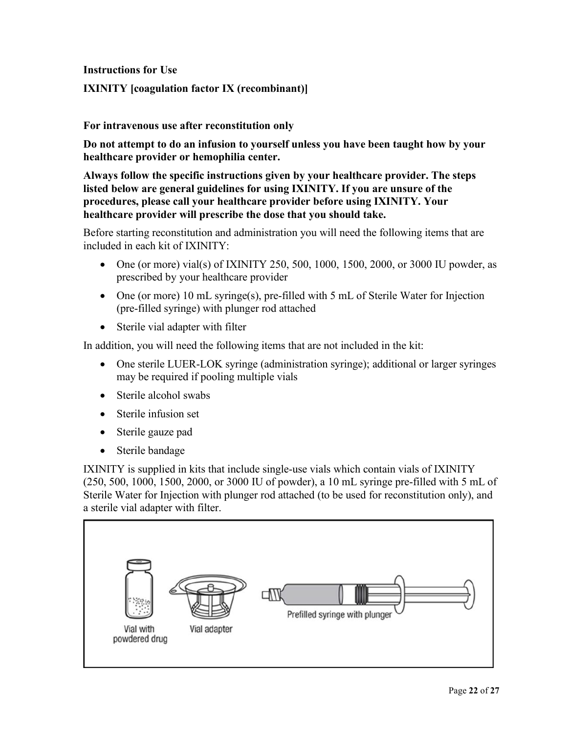**Instructions for Use**

#### **IXINITY [coagulation factor IX (recombinant)]**

#### **For intravenous use after reconstitution only**

**Do not attempt to do an infusion to yourself unless you have been taught how by your healthcare provider or hemophilia center.**

**Always follow the specific instructions given by your healthcare provider. The steps listed below are general guidelines for using IXINITY. If you are unsure of the procedures, please call your healthcare provider before using IXINITY. Your healthcare provider will prescribe the dose that you should take.**

Before starting reconstitution and administration you will need the following items that are included in each kit of IXINITY:

- One (or more) vial(s) of IXINITY 250, 500, 1000, 1500, 2000, or 3000 IU powder, as prescribed by your healthcare provider
- One (or more) 10 mL syringe(s), pre-filled with 5 mL of Sterile Water for Injection (pre-filled syringe) with plunger rod attached
- Sterile vial adapter with filter

In addition, you will need the following items that are not included in the kit:

- One sterile LUER-LOK syringe (administration syringe); additional or larger syringes may be required if pooling multiple vials
- Sterile alcohol swabs
- Sterile infusion set
- Sterile gauze pad
- Sterile bandage

IXINITY is supplied in kits that include single-use vials which contain vials of IXINITY (250, 500, 1000, 1500, 2000, or 3000 IU of powder), a 10 mL syringe pre-filled with 5 mL of Sterile Water for Injection with plunger rod attached (to be used for reconstitution only), and a sterile vial adapter with filter.

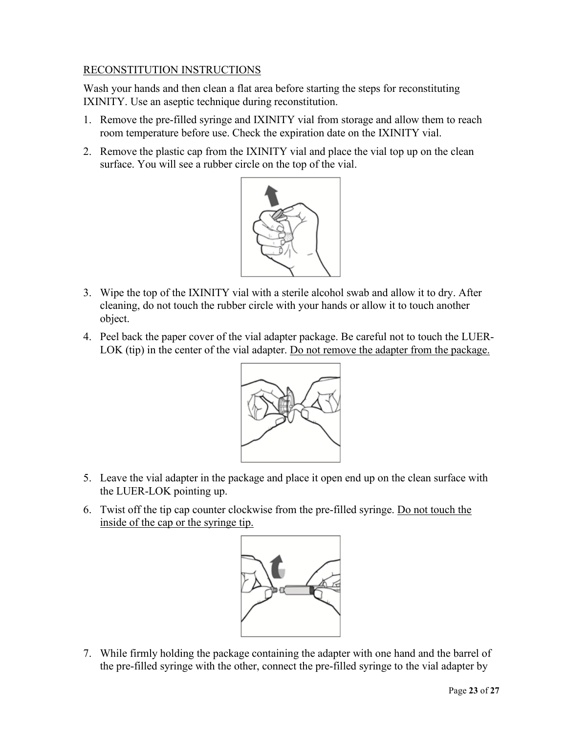## RECONSTITUTION INSTRUCTIONS

Wash your hands and then clean a flat area before starting the steps for reconstituting IXINITY. Use an aseptic technique during reconstitution.

- 1. Remove the pre-filled syringe and IXINITY vial from storage and allow them to reach room temperature before use. Check the expiration date on the IXINITY vial.
- 2. Remove the plastic cap from the IXINITY vial and place the vial top up on the clean surface. You will see a rubber circle on the top of the vial.



- 3. Wipe the top of the IXINITY vial with a sterile alcohol swab and allow it to dry. After cleaning, do not touch the rubber circle with your hands or allow it to touch another object.
- 4. Peel back the paper cover of the vial adapter package. Be careful not to touch the LUER-LOK (tip) in the center of the vial adapter. Do not remove the adapter from the package.



- 5. Leave the vial adapter in the package and place it open end up on the clean surface with the LUER-LOK pointing up.
- 6. Twist off the tip cap counter clockwise from the pre-filled syringe. Do not touch the inside of the cap or the syringe tip.



7. While firmly holding the package containing the adapter with one hand and the barrel of the pre-filled syringe with the other, connect the pre-filled syringe to the vial adapter by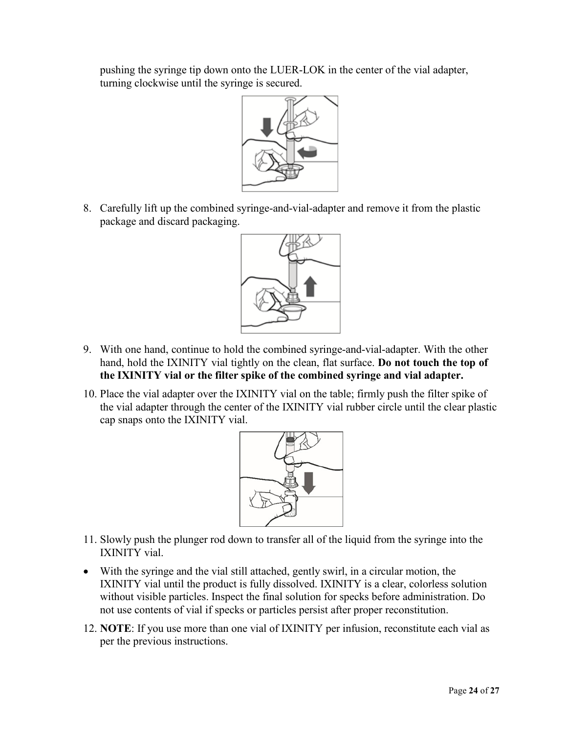pushing the syringe tip down onto the LUER-LOK in the center of the vial adapter, turning clockwise until the syringe is secured.



8. Carefully lift up the combined syringe-and-vial-adapter and remove it from the plastic package and discard packaging.



- 9. With one hand, continue to hold the combined syringe-and-vial-adapter. With the other hand, hold the IXINITY vial tightly on the clean, flat surface. **Do not touch the top of the IXINITY vial or the filter spike of the combined syringe and vial adapter.**
- 10. Place the vial adapter over the IXINITY vial on the table; firmly push the filter spike of the vial adapter through the center of the IXINITY vial rubber circle until the clear plastic cap snaps onto the IXINITY vial.



- 11. Slowly push the plunger rod down to transfer all of the liquid from the syringe into the IXINITY vial.
- With the syringe and the vial still attached, gently swirl, in a circular motion, the IXINITY vial until the product is fully dissolved. IXINITY is a clear, colorless solution without visible particles. Inspect the final solution for specks before administration. Do not use contents of vial if specks or particles persist after proper reconstitution.
- 12. **NOTE**: If you use more than one vial of IXINITY per infusion, reconstitute each vial as per the previous instructions.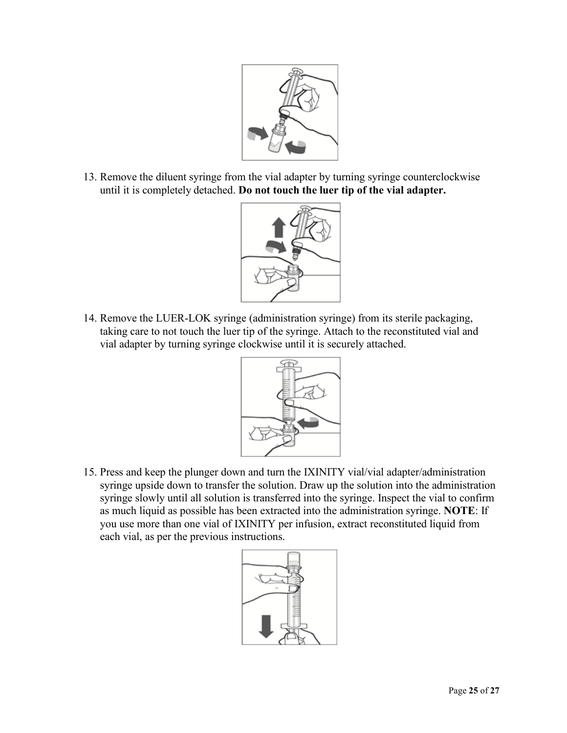

13. Remove the diluent syringe from the vial adapter by turning syringe counterclockwise until it is completely detached. **Do not touch the luer tip of the vial adapter.**



14. Remove the LUER-LOK syringe (administration syringe) from its sterile packaging, taking care to not touch the luer tip of the syringe. Attach to the reconstituted vial and vial adapter by turning syringe clockwise until it is securely attached.



15. Press and keep the plunger down and turn the IXINITY vial/vial adapter/administration syringe upside down to transfer the solution. Draw up the solution into the administration syringe slowly until all solution is transferred into the syringe. Inspect the vial to confirm as much liquid as possible has been extracted into the administration syringe. **NOTE**: If you use more than one vial of IXINITY per infusion, extract reconstituted liquid from each vial, as per the previous instructions.

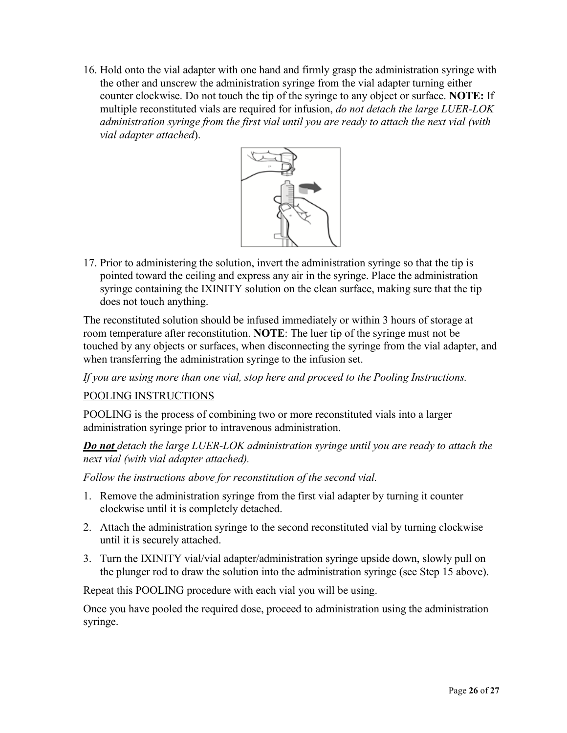16. Hold onto the vial adapter with one hand and firmly grasp the administration syringe with the other and unscrew the administration syringe from the vial adapter turning either counter clockwise. Do not touch the tip of the syringe to any object or surface. **NOTE:** If multiple reconstituted vials are required for infusion, *do not detach the large LUER-LOK administration syringe from the first vial until you are ready to attach the next vial (with vial adapter attached*).



17. Prior to administering the solution, invert the administration syringe so that the tip is pointed toward the ceiling and express any air in the syringe. Place the administration syringe containing the IXINITY solution on the clean surface, making sure that the tip does not touch anything.

The reconstituted solution should be infused immediately or within 3 hours of storage at room temperature after reconstitution. **NOTE**: The luer tip of the syringe must not be touched by any objects or surfaces, when disconnecting the syringe from the vial adapter, and when transferring the administration syringe to the infusion set.

*If you are using more than one vial, stop here and proceed to the Pooling Instructions.*

POOLING INSTRUCTIONS

POOLING is the process of combining two or more reconstituted vials into a larger administration syringe prior to intravenous administration.

*Do not detach the large LUER-LOK administration syringe until you are ready to attach the next vial (with vial adapter attached).*

*Follow the instructions above for reconstitution of the second vial.*

- 1. Remove the administration syringe from the first vial adapter by turning it counter clockwise until it is completely detached.
- 2. Attach the administration syringe to the second reconstituted vial by turning clockwise until it is securely attached.
- 3. Turn the IXINITY vial/vial adapter/administration syringe upside down, slowly pull on the plunger rod to draw the solution into the administration syringe (see Step 15 above).

Repeat this POOLING procedure with each vial you will be using.

Once you have pooled the required dose, proceed to administration using the administration syringe.